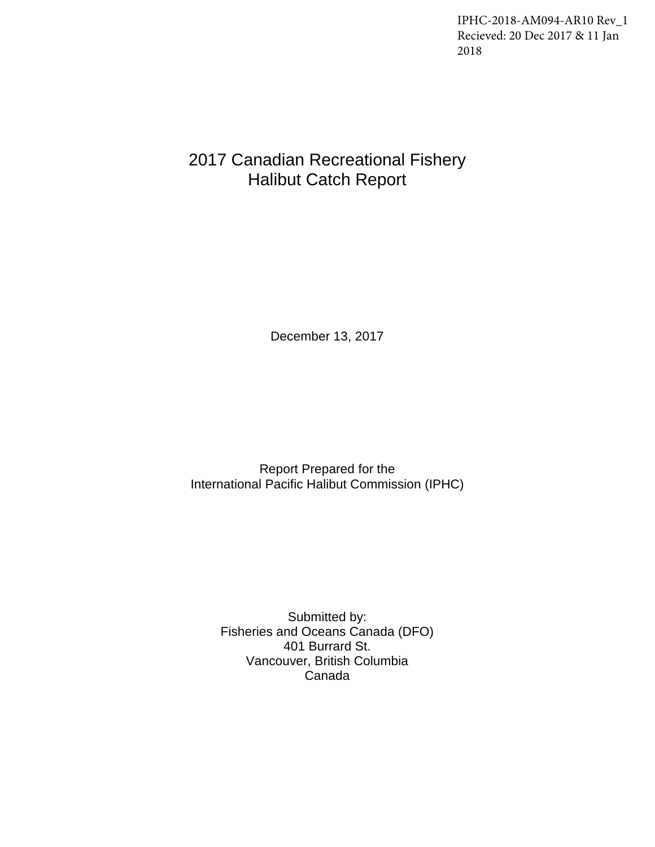IPHC-2018-AM094-AR10 Rev\_1 Recieved: 20 Dec 2017 & 11 Jan 2018

# 2017 Canadian Recreational Fishery Halibut Catch Report

December 13, 2017

Report Prepared for the International Pacific Halibut Commission (IPHC)

Submitted by: Fisheries and Oceans Canada (DFO) 401 Burrard St. Vancouver, British Columbia Canada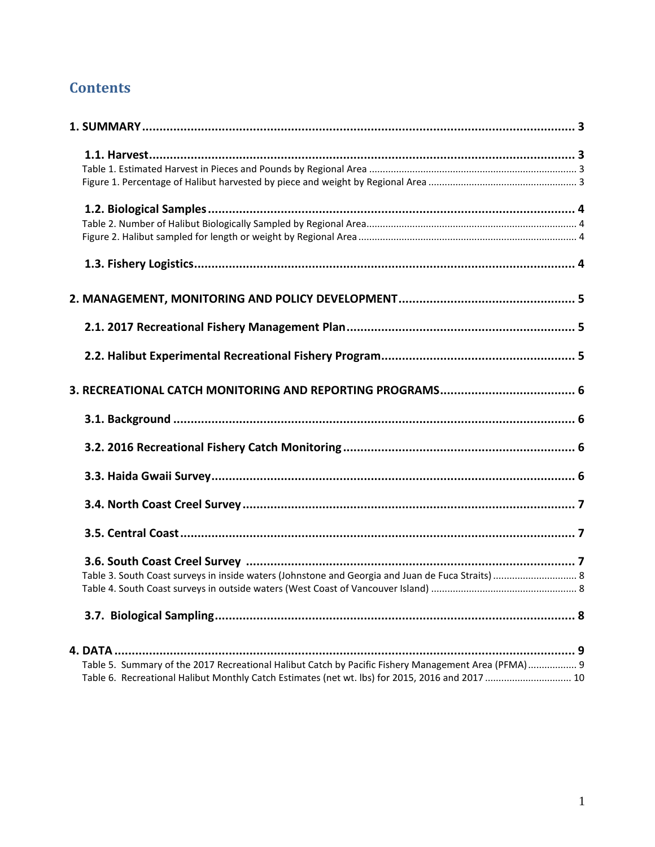## **Contents**

| Table 3. South Coast surveys in inside waters (Johnstone and Georgia and Juan de Fuca Straits)  8   |  |
|-----------------------------------------------------------------------------------------------------|--|
|                                                                                                     |  |
|                                                                                                     |  |
|                                                                                                     |  |
|                                                                                                     |  |
|                                                                                                     |  |
|                                                                                                     |  |
| Table 5. Summary of the 2017 Recreational Halibut Catch by Pacific Fishery Management Area (PFMA) 9 |  |
| Table 6. Recreational Halibut Monthly Catch Estimates (net wt. lbs) for 2015, 2016 and 2017  10     |  |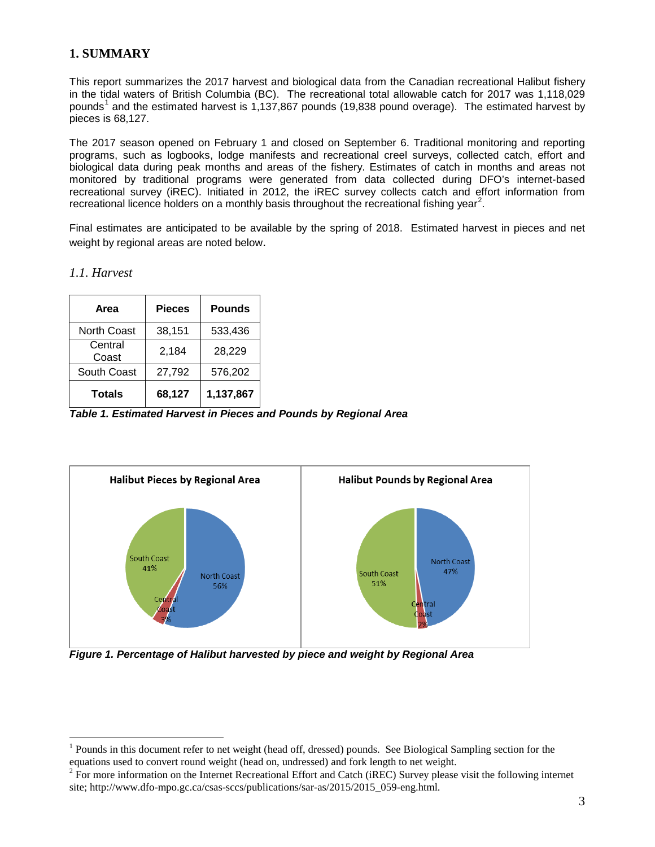## <span id="page-3-0"></span>**1. SUMMARY**

This report summarizes the 2017 harvest and biological data from the Canadian recreational Halibut fishery in the tidal waters of British Columbia (BC). The recreational total allowable catch for 2017 was 1,118,029 pounds<sup>[1](#page-3-4)</sup> and the estimated harvest is 1,137,867 pounds (19,838 pound overage). The estimated harvest by pieces is 68,127.

The 2017 season opened on February 1 and closed on September 6. Traditional monitoring and reporting programs, such as logbooks, lodge manifests and recreational creel surveys, collected catch, effort and biological data during peak months and areas of the fishery. Estimates of catch in months and areas not monitored by traditional programs were generated from data collected during DFO's internet-based recreational survey (iREC). Initiated in 2012, the iREC survey collects catch and effort information from recreational licence holders on a monthly basis throughout the recreational fishing year<sup>[2](#page-3-5)</sup>.

Final estimates are anticipated to be available by the spring of 2018. Estimated harvest in pieces and net weight by regional areas are noted below.

<span id="page-3-1"></span>*1.1. Harvest*

 $\overline{a}$ 

| Area               | <b>Pieces</b> | <b>Pounds</b> |
|--------------------|---------------|---------------|
| <b>North Coast</b> | 38,151        | 533,436       |
| Central<br>Coast   | 2,184         | 28,229        |
| South Coast        | 27,792        | 576,202       |
| <b>Totals</b>      | 68,127        | 1,137,867     |

<span id="page-3-2"></span>*Table 1. Estimated Harvest in Pieces and Pounds by Regional Area*



<span id="page-3-3"></span>*Figure 1. Percentage of Halibut harvested by piece and weight by Regional Area*

<span id="page-3-4"></span> $<sup>1</sup>$  Pounds in this document refer to net weight (head off, dressed) pounds. See Biological Sampling section for the</sup> equations used to convert round weight (head on, undressed) and fork length to net weight.

<span id="page-3-5"></span><sup>&</sup>lt;sup>2</sup> For more information on the Internet Recreational Effort and Catch (iREC) Survey please visit the following internet site; http://www.dfo-mpo.gc.ca/csas-sccs/publications/sar-as/2015/2015\_059-eng.html.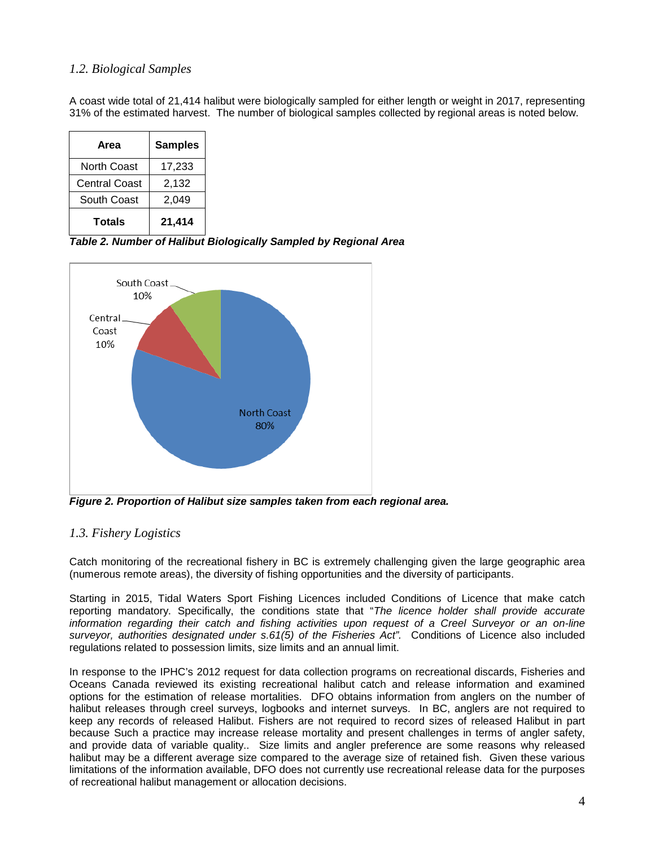### <span id="page-4-0"></span>*1.2. Biological Samples*

A coast wide total of 21,414 halibut were biologically sampled for either length or weight in 2017, representing 31% of the estimated harvest. The number of biological samples collected by regional areas is noted below.

| Area                 | <b>Samples</b> |
|----------------------|----------------|
| North Coast          | 17,233         |
| <b>Central Coast</b> | 2,132          |
| South Coast          | 2,049          |
| <b>Totals</b>        | 21,414         |

<span id="page-4-1"></span>*Table 2. Number of Halibut Biologically Sampled by Regional Area*



<span id="page-4-2"></span>*Figure 2. Proportion of Halibut size samples taken from each regional area.*

## <span id="page-4-3"></span>*1.3. Fishery Logistics*

Catch monitoring of the recreational fishery in BC is extremely challenging given the large geographic area (numerous remote areas), the diversity of fishing opportunities and the diversity of participants.

Starting in 2015, Tidal Waters Sport Fishing Licences included Conditions of Licence that make catch reporting mandatory. Specifically, the conditions state that "*The licence holder shall provide accurate information regarding their catch and fishing activities upon request of a Creel Surveyor or an on-line surveyor, authorities designated under s.61(5) of the Fisheries Act".* Conditions of Licence also included regulations related to possession limits, size limits and an annual limit.

In response to the IPHC's 2012 request for data collection programs on recreational discards, Fisheries and Oceans Canada reviewed its existing recreational halibut catch and release information and examined options for the estimation of release mortalities. DFO obtains information from anglers on the number of halibut releases through creel surveys, logbooks and internet surveys. In BC, anglers are not required to keep any records of released Halibut. Fishers are not required to record sizes of released Halibut in part because Such a practice may increase release mortality and present challenges in terms of angler safety, and provide data of variable quality.. Size limits and angler preference are some reasons why released halibut may be a different average size compared to the average size of retained fish. Given these various limitations of the information available, DFO does not currently use recreational release data for the purposes of recreational halibut management or allocation decisions.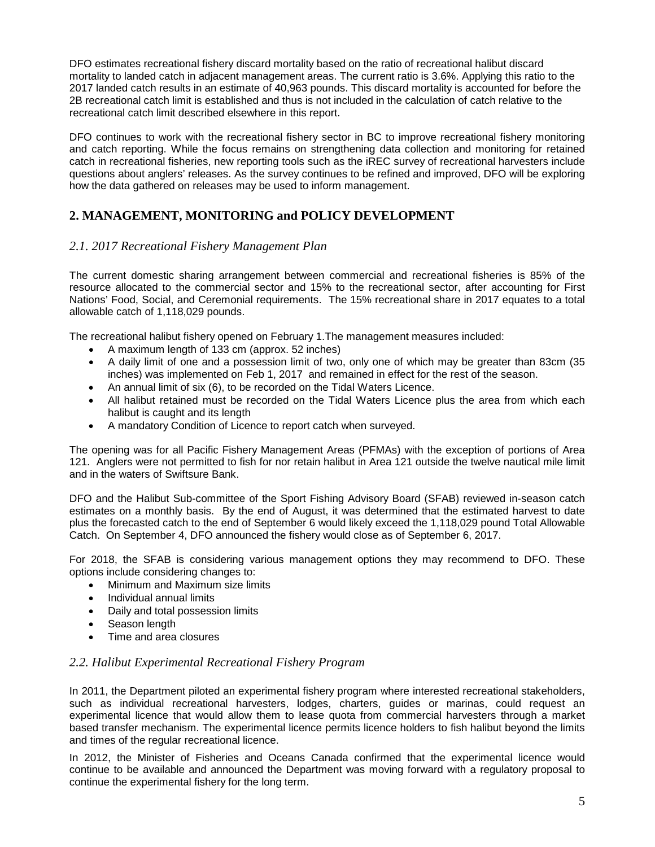DFO estimates recreational fishery discard mortality based on the ratio of recreational halibut discard mortality to landed catch in adjacent management areas. The current ratio is 3.6%. Applying this ratio to the 2017 landed catch results in an estimate of 40,963 pounds. This discard mortality is accounted for before the 2B recreational catch limit is established and thus is not included in the calculation of catch relative to the recreational catch limit described elsewhere in this report.

DFO continues to work with the recreational fishery sector in BC to improve recreational fishery monitoring and catch reporting. While the focus remains on strengthening data collection and monitoring for retained catch in recreational fisheries, new reporting tools such as the iREC survey of recreational harvesters include questions about anglers' releases. As the survey continues to be refined and improved, DFO will be exploring how the data gathered on releases may be used to inform management.

## <span id="page-5-0"></span>**2. MANAGEMENT, MONITORING and POLICY DEVELOPMENT**

### <span id="page-5-1"></span>*2.1. 2017 Recreational Fishery Management Plan*

The current domestic sharing arrangement between commercial and recreational fisheries is 85% of the resource allocated to the commercial sector and 15% to the recreational sector, after accounting for First Nations' Food, Social, and Ceremonial requirements. The 15% recreational share in 2017 equates to a total allowable catch of 1,118,029 pounds.

The recreational halibut fishery opened on February 1.The management measures included:

- A maximum length of 133 cm (approx. 52 inches)
- A daily limit of one and a possession limit of two, only one of which may be greater than 83cm (35 inches) was implemented on Feb 1, 2017 and remained in effect for the rest of the season.
- An annual limit of six (6), to be recorded on the Tidal Waters Licence.
- All halibut retained must be recorded on the Tidal Waters Licence plus the area from which each halibut is caught and its length
- A mandatory Condition of Licence to report catch when surveyed.

The opening was for all Pacific Fishery Management Areas (PFMAs) with the exception of portions of Area 121. Anglers were not permitted to fish for nor retain halibut in Area 121 outside the twelve nautical mile limit and in the waters of Swiftsure Bank.

DFO and the Halibut Sub-committee of the Sport Fishing Advisory Board (SFAB) reviewed in-season catch estimates on a monthly basis. By the end of August, it was determined that the estimated harvest to date plus the forecasted catch to the end of September 6 would likely exceed the 1,118,029 pound Total Allowable Catch. On September 4, DFO announced the fishery would close as of September 6, 2017.

For 2018, the SFAB is considering various management options they may recommend to DFO. These options include considering changes to:

- Minimum and Maximum size limits
- Individual annual limits
- Daily and total possession limits
- Season length
- Time and area closures

#### <span id="page-5-2"></span>*2.2. Halibut Experimental Recreational Fishery Program*

In 2011, the Department piloted an experimental fishery program where interested recreational stakeholders, such as individual recreational harvesters, lodges, charters, guides or marinas, could request an experimental licence that would allow them to lease quota from commercial harvesters through a market based transfer mechanism. The experimental licence permits licence holders to fish halibut beyond the limits and times of the regular recreational licence.

In 2012, the Minister of Fisheries and Oceans Canada confirmed that the experimental licence would continue to be available and announced the Department was moving forward with a regulatory proposal to continue the experimental fishery for the long term.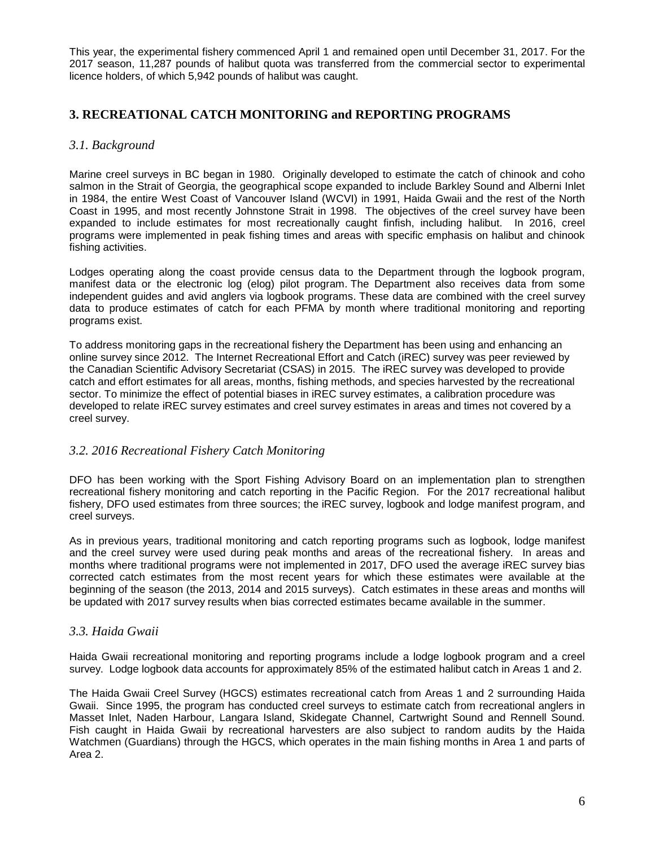This year, the experimental fishery commenced April 1 and remained open until December 31, 2017. For the 2017 season, 11,287 pounds of halibut quota was transferred from the commercial sector to experimental licence holders, of which 5,942 pounds of halibut was caught.

## <span id="page-6-0"></span>**3. RECREATIONAL CATCH MONITORING and REPORTING PROGRAMS**

#### <span id="page-6-1"></span>*3.1. Background*

Marine creel surveys in BC began in 1980. Originally developed to estimate the catch of chinook and coho salmon in the Strait of Georgia, the geographical scope expanded to include Barkley Sound and Alberni Inlet in 1984, the entire West Coast of Vancouver Island (WCVI) in 1991, Haida Gwaii and the rest of the North Coast in 1995, and most recently Johnstone Strait in 1998. The objectives of the creel survey have been expanded to include estimates for most recreationally caught finfish, including halibut. In 2016, creel programs were implemented in peak fishing times and areas with specific emphasis on halibut and chinook fishing activities.

Lodges operating along the coast provide census data to the Department through the logbook program, manifest data or the electronic log (elog) pilot program. The Department also receives data from some independent guides and avid anglers via logbook programs. These data are combined with the creel survey data to produce estimates of catch for each PFMA by month where traditional monitoring and reporting programs exist.

To address monitoring gaps in the recreational fishery the Department has been using and enhancing an online survey since 2012. The Internet Recreational Effort and Catch (iREC) survey was peer reviewed by the Canadian Scientific Advisory Secretariat (CSAS) in 2015. The iREC survey was developed to provide catch and effort estimates for all areas, months, fishing methods, and species harvested by the recreational sector. To minimize the effect of potential biases in iREC survey estimates, a calibration procedure was developed to relate iREC survey estimates and creel survey estimates in areas and times not covered by a creel survey.

#### <span id="page-6-2"></span>*3.2. 2016 Recreational Fishery Catch Monitoring*

DFO has been working with the Sport Fishing Advisory Board on an implementation plan to strengthen recreational fishery monitoring and catch reporting in the Pacific Region. For the 2017 recreational halibut fishery, DFO used estimates from three sources; the iREC survey, logbook and lodge manifest program, and creel surveys.

As in previous years, traditional monitoring and catch reporting programs such as logbook, lodge manifest and the creel survey were used during peak months and areas of the recreational fishery. In areas and months where traditional programs were not implemented in 2017, DFO used the average iREC survey bias corrected catch estimates from the most recent years for which these estimates were available at the beginning of the season (the 2013, 2014 and 2015 surveys). Catch estimates in these areas and months will be updated with 2017 survey results when bias corrected estimates became available in the summer.

#### <span id="page-6-3"></span>*3.3. Haida Gwaii*

Haida Gwaii recreational monitoring and reporting programs include a lodge logbook program and a creel survey. Lodge logbook data accounts for approximately 85% of the estimated halibut catch in Areas 1 and 2.

The Haida Gwaii Creel Survey (HGCS) estimates recreational catch from Areas 1 and 2 surrounding Haida Gwaii. Since 1995, the program has conducted creel surveys to estimate catch from recreational anglers in Masset Inlet, Naden Harbour, Langara Island, Skidegate Channel, Cartwright Sound and Rennell Sound. Fish caught in Haida Gwaii by recreational harvesters are also subject to random audits by the Haida Watchmen (Guardians) through the HGCS, which operates in the main fishing months in Area 1 and parts of Area 2.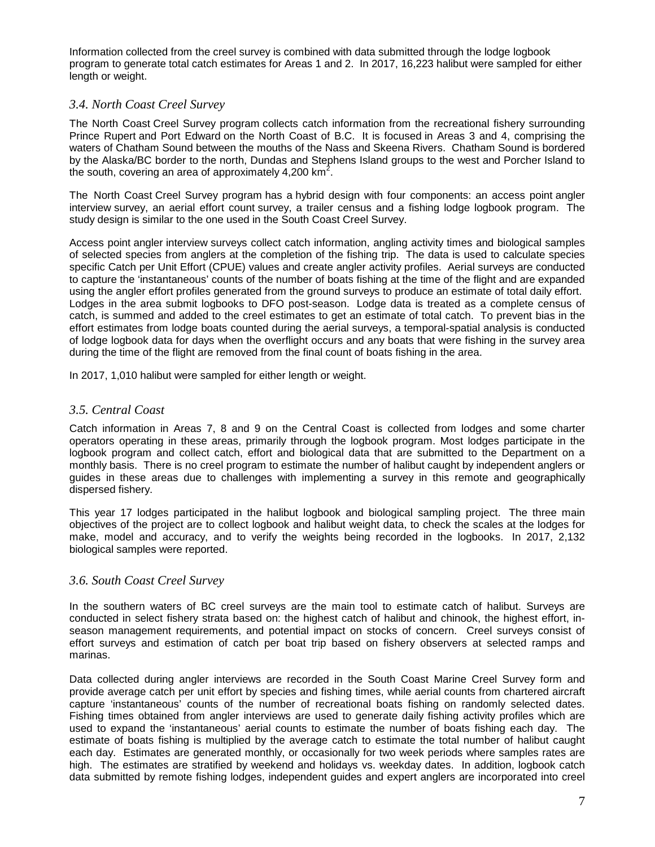Information collected from the creel survey is combined with data submitted through the lodge logbook program to generate total catch estimates for Areas 1 and 2. In 2017, 16,223 halibut were sampled for either length or weight.

#### <span id="page-7-0"></span>*3.4. North Coast Creel Survey*

The North Coast Creel Survey program collects catch information from the recreational fishery surrounding Prince Rupert and Port Edward on the North Coast of B.C. It is focused in Areas 3 and 4, comprising the waters of Chatham Sound between the mouths of the Nass and Skeena Rivers. Chatham Sound is bordered by the Alaska/BC border to the north, Dundas and Stephens Island groups to the west and Porcher Island to the south, covering an area of approximately 4,200 km<sup>2</sup>.

The North Coast Creel Survey program has a hybrid design with four components: an access point angler interview survey, an aerial effort count survey, a trailer census and a fishing lodge logbook program. The study design is similar to the one used in the South Coast Creel Survey.

Access point angler interview surveys collect catch information, angling activity times and biological samples of selected species from anglers at the completion of the fishing trip. The data is used to calculate species specific Catch per Unit Effort (CPUE) values and create angler activity profiles. Aerial surveys are conducted to capture the 'instantaneous' counts of the number of boats fishing at the time of the flight and are expanded using the angler effort profiles generated from the ground surveys to produce an estimate of total daily effort. Lodges in the area submit logbooks to DFO post-season. Lodge data is treated as a complete census of catch, is summed and added to the creel estimates to get an estimate of total catch. To prevent bias in the effort estimates from lodge boats counted during the aerial surveys, a temporal-spatial analysis is conducted of lodge logbook data for days when the overflight occurs and any boats that were fishing in the survey area during the time of the flight are removed from the final count of boats fishing in the area.

In 2017, 1,010 halibut were sampled for either length or weight.

#### <span id="page-7-1"></span>*3.5. Central Coast*

Catch information in Areas 7, 8 and 9 on the Central Coast is collected from lodges and some charter operators operating in these areas, primarily through the logbook program. Most lodges participate in the logbook program and collect catch, effort and biological data that are submitted to the Department on a monthly basis. There is no creel program to estimate the number of halibut caught by independent anglers or guides in these areas due to challenges with implementing a survey in this remote and geographically dispersed fishery.

This year 17 lodges participated in the halibut logbook and biological sampling project. The three main objectives of the project are to collect logbook and halibut weight data, to check the scales at the lodges for make, model and accuracy, and to verify the weights being recorded in the logbooks. In 2017, 2,132 biological samples were reported.

#### <span id="page-7-2"></span>*3.6. South Coast Creel Survey*

In the southern waters of BC creel surveys are the main tool to estimate catch of halibut. Surveys are conducted in select fishery strata based on: the highest catch of halibut and chinook, the highest effort, inseason management requirements, and potential impact on stocks of concern. Creel surveys consist of effort surveys and estimation of catch per boat trip based on fishery observers at selected ramps and marinas.

Data collected during angler interviews are recorded in the South Coast Marine Creel Survey form and provide average catch per unit effort by species and fishing times, while aerial counts from chartered aircraft capture 'instantaneous' counts of the number of recreational boats fishing on randomly selected dates. Fishing times obtained from angler interviews are used to generate daily fishing activity profiles which are used to expand the 'instantaneous' aerial counts to estimate the number of boats fishing each day. The estimate of boats fishing is multiplied by the average catch to estimate the total number of halibut caught each day. Estimates are generated monthly, or occasionally for two week periods where samples rates are high. The estimates are stratified by weekend and holidays vs. weekday dates. In addition, logbook catch data submitted by remote fishing lodges, independent guides and expert anglers are incorporated into creel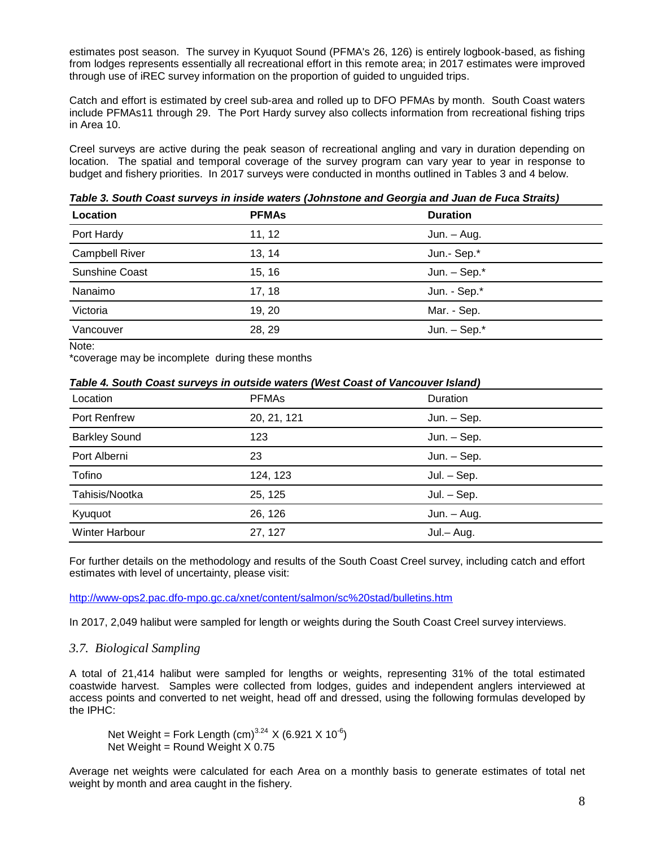estimates post season. The survey in Kyuquot Sound (PFMA's 26, 126) is entirely logbook-based, as fishing from lodges represents essentially all recreational effort in this remote area; in 2017 estimates were improved through use of iREC survey information on the proportion of guided to unguided trips.

Catch and effort is estimated by creel sub-area and rolled up to DFO PFMAs by month. South Coast waters include PFMAs11 through 29. The Port Hardy survey also collects information from recreational fishing trips in Area 10.

Creel surveys are active during the peak season of recreational angling and vary in duration depending on location. The spatial and temporal coverage of the survey program can vary year to year in response to budget and fishery priorities. In 2017 surveys were conducted in months outlined in Tables 3 and 4 below.

**Location PFMAs Duration** Port Hardy **11, 12** Jun. – Aug. Campbell River **13, 14** 13, 14 Jun.- Sep.\* Sunshine Coast **15, 16** Jun. – Sep.\* Nanaimo 17, 18 Jun. - Sep.\* Victoria **19, 20** Mar. - Sep. Vancouver 28, 29 Jun. – Sep.\*

<span id="page-8-0"></span>*Table 3. South Coast surveys in inside waters (Johnstone and Georgia and Juan de Fuca Straits)*

Note:

\*coverage may be incomplete during these months

<span id="page-8-1"></span>

| Location             | <b>PFMAs</b> | Duration      |
|----------------------|--------------|---------------|
| Port Renfrew         | 20, 21, 121  | Jun. - Sep.   |
| <b>Barkley Sound</b> | 123          | $Jun. - Sep.$ |
| Port Alberni         | 23           | $Jun. - Sep.$ |
| Tofino               | 124, 123     | $Jul. - Sep.$ |
| Tahisis/Nootka       | 25, 125      | $Jul. - Sep.$ |
| Kyuquot              | 26, 126      | $Jun. - Aug.$ |
| Winter Harbour       | 27, 127      | Jul.- Aug.    |

For further details on the methodology and results of the South Coast Creel survey, including catch and effort estimates with level of uncertainty, please visit:

<http://www-ops2.pac.dfo-mpo.gc.ca/xnet/content/salmon/sc%20stad/bulletins.htm>

In 2017, 2,049 halibut were sampled for length or weights during the South Coast Creel survey interviews.

#### <span id="page-8-2"></span>*3.7. Biological Sampling*

A total of 21,414 halibut were sampled for lengths or weights, representing 31% of the total estimated coastwide harvest. Samples were collected from lodges, guides and independent anglers interviewed at access points and converted to net weight, head off and dressed, using the following formulas developed by the IPHC:

Net Weight = Fork Length  $(cm)^{3.24}$  X (6.921 X 10<sup>-6</sup>) Net Weight = Round Weight X 0.75

Average net weights were calculated for each Area on a monthly basis to generate estimates of total net weight by month and area caught in the fishery.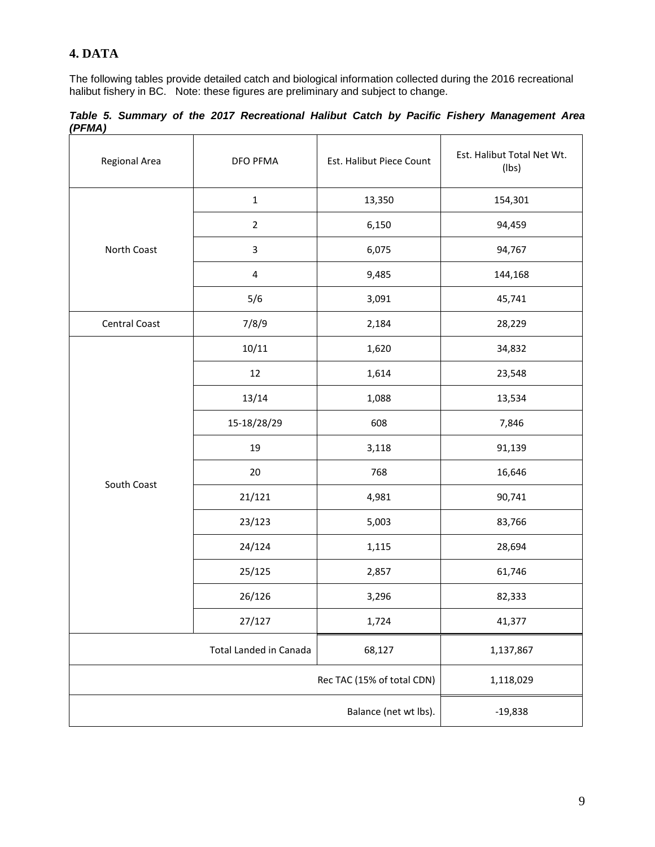## <span id="page-9-0"></span>**4. DATA**

The following tables provide detailed catch and biological information collected during the 2016 recreational halibut fishery in BC. Note: these figures are preliminary and subject to change.

<span id="page-9-1"></span>*Table 5. Summary of the 2017 Recreational Halibut Catch by Pacific Fishery Management Area (PFMA)*

| Regional Area        | <b>DFO PFMA</b>            | Est. Halibut Piece Count | Est. Halibut Total Net Wt.<br>$($ lbs $)$ |
|----------------------|----------------------------|--------------------------|-------------------------------------------|
|                      | $\mathbf 1$                | 13,350                   | 154,301                                   |
|                      | $\overline{2}$             | 6,150                    | 94,459                                    |
| North Coast          | 3                          | 6,075                    | 94,767                                    |
|                      | $\overline{\mathbf{4}}$    | 9,485                    | 144,168                                   |
|                      | 5/6                        | 3,091                    | 45,741                                    |
| <b>Central Coast</b> | 7/8/9                      | 2,184                    | 28,229                                    |
|                      | 10/11                      | 1,620                    | 34,832                                    |
|                      | $12\,$                     | 1,614                    | 23,548                                    |
|                      | 13/14                      | 1,088                    | 13,534                                    |
|                      | 15-18/28/29                | 608                      | 7,846                                     |
|                      | 19                         | 3,118                    | 91,139                                    |
|                      | 20                         | 768                      | 16,646                                    |
| South Coast          | 21/121                     | 4,981                    | 90,741                                    |
|                      | 23/123                     | 5,003                    | 83,766                                    |
|                      | 24/124                     | 1,115                    | 28,694                                    |
|                      | 25/125                     | 2,857                    | 61,746                                    |
|                      | 26/126                     | 3,296                    | 82,333                                    |
|                      | 27/127                     | 1,724                    | 41,377                                    |
|                      | Total Landed in Canada     | 68,127                   | 1,137,867                                 |
|                      | Rec TAC (15% of total CDN) | 1,118,029                |                                           |
|                      | $-19,838$                  |                          |                                           |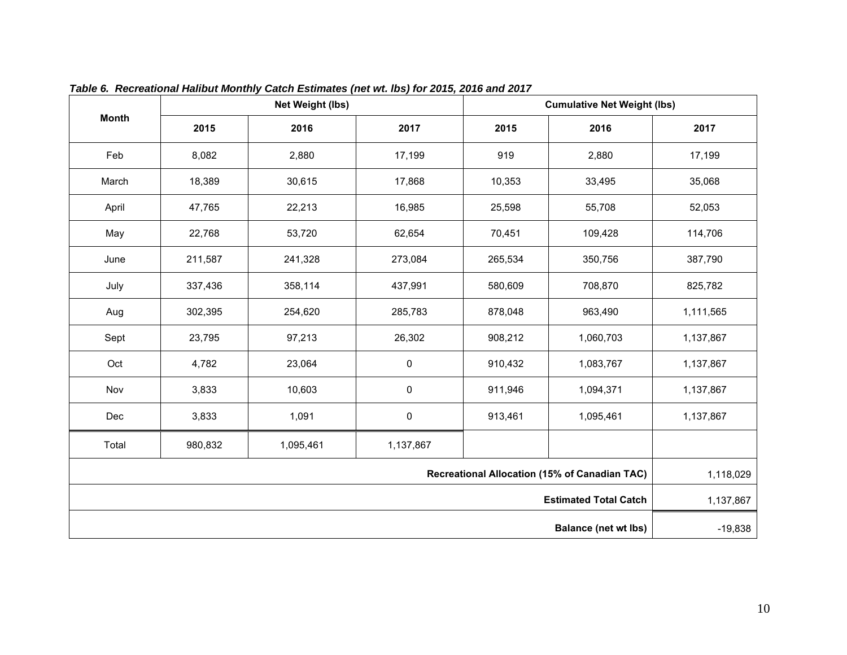<span id="page-10-0"></span>

|              |                                   | Net Weight (lbs) |           | <b>Cumulative Net Weight (lbs)</b> |                              |           |  |  |
|--------------|-----------------------------------|------------------|-----------|------------------------------------|------------------------------|-----------|--|--|
| <b>Month</b> | 2015                              | 2016             | 2017      | 2015                               | 2016                         | 2017      |  |  |
| Feb          | 8,082                             | 2,880            | 17,199    | 919                                | 2,880                        | 17,199    |  |  |
| March        | 18,389                            | 30,615           | 17,868    | 10,353                             | 33,495                       | 35,068    |  |  |
| April        | 47,765                            | 22,213           | 16,985    | 25,598                             | 55,708                       | 52,053    |  |  |
| May          | 22,768                            | 53,720           | 62,654    | 70,451                             | 109,428                      | 114,706   |  |  |
| June         | 211,587                           | 241,328          | 273,084   | 265,534                            | 350,756                      | 387,790   |  |  |
| July         | 337,436                           | 358,114          | 437,991   | 580,609                            | 708,870                      | 825,782   |  |  |
| Aug          | 302,395                           | 254,620          | 285,783   | 878,048                            | 963,490                      | 1,111,565 |  |  |
| Sept         | 23,795                            | 97,213           | 26,302    | 908,212                            | 1,060,703                    | 1,137,867 |  |  |
| Oct          | 4,782                             | 23,064           | $\pmb{0}$ | 910,432                            | 1,083,767                    | 1,137,867 |  |  |
| Nov          | 3,833                             | 10,603           | $\pmb{0}$ | 911,946                            | 1,094,371                    | 1,137,867 |  |  |
| Dec          | 3,833                             | 1,091            | $\pmb{0}$ | 913,461                            | 1,095,461                    | 1,137,867 |  |  |
| Total        | 980,832<br>1,095,461<br>1,137,867 |                  |           |                                    |                              |           |  |  |
|              | 1,118,029                         |                  |           |                                    |                              |           |  |  |
|              |                                   |                  |           |                                    | <b>Estimated Total Catch</b> | 1,137,867 |  |  |
|              |                                   |                  |           |                                    | <b>Balance (net wt lbs)</b>  | $-19,838$ |  |  |

*Table 6. Recreational Halibut Monthly Catch Estimates (net wt. lbs) for 2015, 2016 and 2017*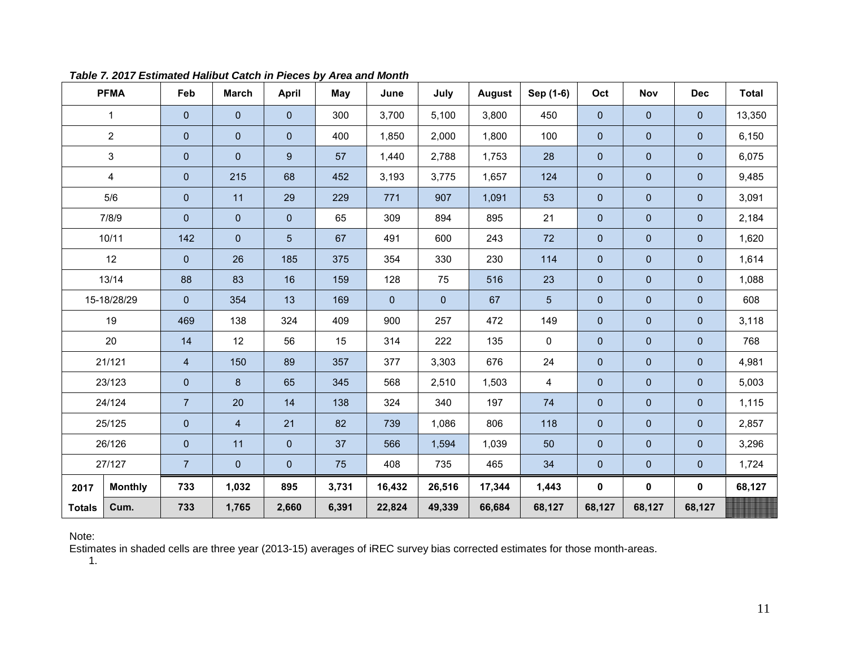<span id="page-11-0"></span>

|               | <b>PFMA</b>               | Feb                     | <b>March</b>   | <b>April</b>        | May   | June           | July           | August | Sep (1-6)       | Oct         | Nov          | <b>Dec</b>     | <b>Total</b> |
|---------------|---------------------------|-------------------------|----------------|---------------------|-------|----------------|----------------|--------|-----------------|-------------|--------------|----------------|--------------|
|               | $\mathbf{1}$              | $\pmb{0}$               | $\mathbf{0}$   | $\mathsf{O}\xspace$ | 300   | 3,700          | 5,100          | 3,800  | 450             | $\mathbf 0$ | $\mathbf 0$  | $\overline{0}$ | 13,350       |
|               | $\overline{2}$            | $\pmb{0}$               | $\mathbf 0$    | $\mathsf{O}\xspace$ | 400   | 1,850          | 2,000          | 1,800  | 100             | $\mathbf 0$ | $\pmb{0}$    | $\mathbf{0}$   | 6,150        |
|               | $\ensuremath{\mathsf{3}}$ | $\pmb{0}$               | $\mathbf 0$    | 9                   | 57    | 1,440          | 2,788          | 1,753  | 28              | $\pmb{0}$   | $\pmb{0}$    | $\mathbf 0$    | 6,075        |
|               | 4                         | $\pmb{0}$               | 215            | 68                  | 452   | 3,193          | 3,775          | 1,657  | 124             | $\mathbf 0$ | $\pmb{0}$    | $\mathbf 0$    | 9,485        |
|               | 5/6                       | $\mathbf 0$             | 11             | 29                  | 229   | 771            | 907            | 1,091  | 53              | $\mathbf 0$ | $\mathbf 0$  | $\mathbf 0$    | 3,091        |
|               | 7/8/9                     | $\mathbf 0$             | $\mathbf 0$    | $\mathbf 0$         | 65    | 309            | 894            | 895    | 21              | $\mathbf 0$ | $\mathbf 0$  | $\mathbf 0$    | 2,184        |
|               | 10/11                     | 142                     | $\mathbf{0}$   | $5\overline{)}$     | 67    | 491            | 600            | 243    | 72              | $\mathbf 0$ | $\pmb{0}$    | $\pmb{0}$      | 1,620        |
|               | 12                        | $\mathbf 0$             | 26             | 185                 | 375   | 354            | 330            | 230    | 114             | $\mathbf 0$ | $\mathbf 0$  | $\mathbf 0$    | 1,614        |
|               | 13/14                     | 88                      | 83             | 16                  | 159   | 128            | 75             | 516    | 23              | $\pmb{0}$   | $\pmb{0}$    | $\pmb{0}$      | 1,088        |
|               | 15-18/28/29               | $\mathbf 0$             | 354            | 13                  | 169   | $\overline{0}$ | $\overline{0}$ | 67     | $5\phantom{.0}$ | $\pmb{0}$   | $\pmb{0}$    | $\mathbf 0$    | 608          |
|               | 19                        | 469                     | 138            | 324                 | 409   | 900            | 257            | 472    | 149             | $\pmb{0}$   | $\mathbf 0$  | $\mathbf{0}$   | 3,118        |
|               | 20                        | 14                      | 12             | 56                  | 15    | 314            | 222            | 135    | $\mathbf{0}$    | $\pmb{0}$   | $\pmb{0}$    | $\pmb{0}$      | 768          |
|               | 21/121                    | $\overline{\mathbf{4}}$ | 150            | 89                  | 357   | 377            | 3,303          | 676    | 24              | $\pmb{0}$   | $\pmb{0}$    | $\pmb{0}$      | 4,981        |
|               | 23/123                    | $\pmb{0}$               | 8              | 65                  | 345   | 568            | 2,510          | 1,503  | 4               | $\pmb{0}$   | $\pmb{0}$    | $\pmb{0}$      | 5,003        |
|               | 24/124                    | $\overline{7}$          | 20             | 14                  | 138   | 324            | 340            | 197    | 74              | $\mathbf 0$ | $\pmb{0}$    | $\mathbf 0$    | 1,115        |
|               | 25/125                    | $\pmb{0}$               | $\overline{4}$ | 21                  | 82    | 739            | 1,086          | 806    | 118             | $\pmb{0}$   | $\pmb{0}$    | $\pmb{0}$      | 2,857        |
|               | 26/126                    | $\pmb{0}$               | 11             | $\overline{0}$      | 37    | 566            | 1,594          | 1,039  | 50              | $\pmb{0}$   | $\mathbf 0$  | $\mathbf{0}$   | 3,296        |
|               | 27/127                    | $\overline{7}$          | $\mathbf 0$    | $\overline{0}$      | 75    | 408            | 735            | 465    | 34              | $\pmb{0}$   | $\mathbf{0}$ | $\mathbf 0$    | 1,724        |
| 2017          | <b>Monthly</b>            | 733                     | 1,032          | 895                 | 3,731 | 16,432         | 26,516         | 17,344 | 1,443           | 0           | 0            | $\pmb{0}$      | 68,127       |
| <b>Totals</b> | Cum.                      | 733                     | 1,765          | 2,660               | 6,391 | 22,824         | 49,339         | 66,684 | 68,127          | 68,127      | 68,127       | 68,127         |              |

*Table 7. 2017 Estimated Halibut Catch in Pieces by Area and Month*

Note:

Estimates in shaded cells are three year (2013-15) averages of iREC survey bias corrected estimates for those month-areas.

1.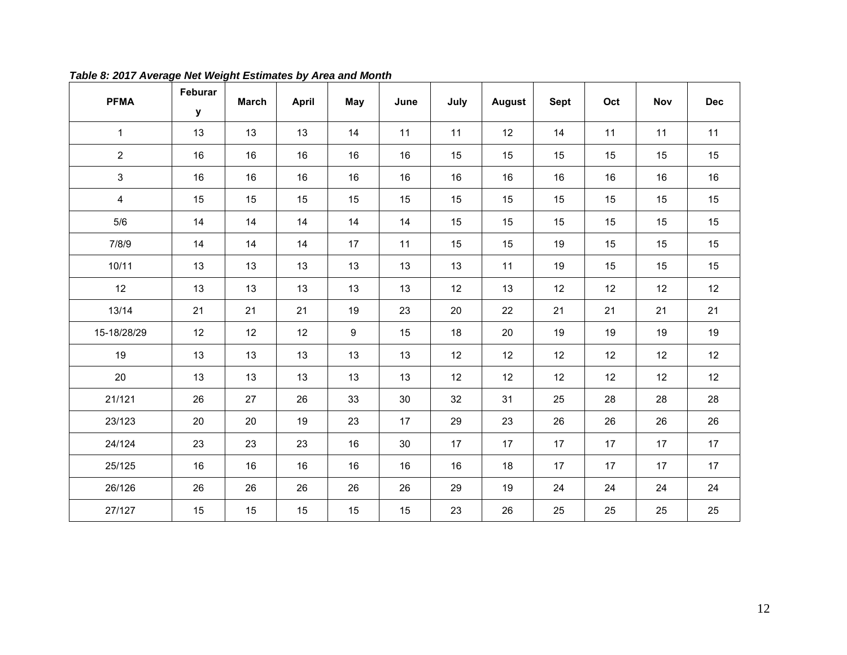<span id="page-12-0"></span>

| <b>PFMA</b>    | Feburar<br>${\bf y}$ | <b>March</b> | <b>April</b> | <b>May</b> | June | July | August | <b>Sept</b> | Oct | Nov | <b>Dec</b> |
|----------------|----------------------|--------------|--------------|------------|------|------|--------|-------------|-----|-----|------------|
| $\mathbf{1}$   | 13                   | 13           | 13           | 14         | 11   | 11   | 12     | 14          | 11  | 11  | 11         |
| $\overline{2}$ | 16                   | 16           | 16           | 16         | 16   | 15   | 15     | 15          | 15  | 15  | 15         |
| $\mathfrak{S}$ | 16                   | 16           | 16           | 16         | 16   | 16   | 16     | 16          | 16  | 16  | 16         |
| $\overline{4}$ | 15                   | 15           | 15           | 15         | 15   | 15   | 15     | 15          | 15  | 15  | 15         |
| $5/6$          | 14                   | 14           | 14           | 14         | 14   | 15   | 15     | 15          | 15  | 15  | 15         |
| 7/8/9          | 14                   | 14           | 14           | 17         | 11   | 15   | 15     | 19          | 15  | 15  | 15         |
| 10/11          | 13                   | 13           | 13           | 13         | 13   | 13   | 11     | 19          | 15  | 15  | 15         |
| 12             | 13                   | 13           | 13           | 13         | 13   | 12   | 13     | 12          | 12  | 12  | 12         |
| 13/14          | 21                   | 21           | 21           | 19         | 23   | 20   | 22     | 21          | 21  | 21  | 21         |
| 15-18/28/29    | 12                   | 12           | 12           | 9          | 15   | 18   | 20     | 19          | 19  | 19  | 19         |
| 19             | 13                   | 13           | 13           | 13         | 13   | 12   | 12     | 12          | 12  | 12  | 12         |
| 20             | 13                   | 13           | 13           | 13         | 13   | 12   | 12     | 12          | 12  | 12  | 12         |
| 21/121         | 26                   | 27           | 26           | 33         | 30   | 32   | 31     | 25          | 28  | 28  | 28         |
| 23/123         | 20                   | 20           | 19           | 23         | 17   | 29   | 23     | 26          | 26  | 26  | 26         |
| 24/124         | 23                   | 23           | 23           | 16         | 30   | 17   | 17     | 17          | 17  | 17  | 17         |
| 25/125         | 16                   | 16           | 16           | $16\,$     | 16   | 16   | 18     | 17          | 17  | 17  | 17         |
| 26/126         | 26                   | 26           | 26           | 26         | 26   | 29   | 19     | 24          | 24  | 24  | $24\,$     |
| 27/127         | 15                   | 15           | 15           | 15         | 15   | 23   | 26     | 25          | 25  | 25  | 25         |

*Table 8: 2017 Average Net Weight Estimates by Area and Month*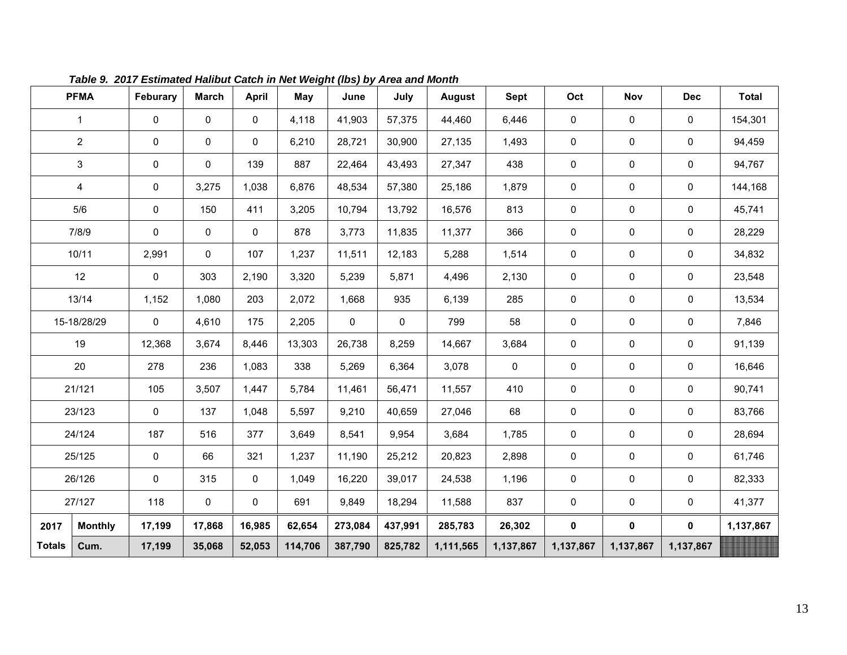<span id="page-13-0"></span>

|               | <b>PFMA</b>    | Feburary            | <b>March</b> | <b>April</b> | May     | June    | July    | August    | <b>Sept</b> | Oct       | Nov         | <b>Dec</b>  | <b>Total</b> |
|---------------|----------------|---------------------|--------------|--------------|---------|---------|---------|-----------|-------------|-----------|-------------|-------------|--------------|
|               | 1              | $\pmb{0}$           | 0            | 0            | 4,118   | 41,903  | 57,375  | 44,460    | 6,446       | 0         | 0           | 0           | 154,301      |
|               | $\overline{2}$ | $\mathbf 0$         | 0            | 0            | 6,210   | 28,721  | 30,900  | 27,135    | 1,493       | 0         | $\pmb{0}$   | 0           | 94,459       |
|               | 3              | $\pmb{0}$           | 0            | 139          | 887     | 22,464  | 43,493  | 27,347    | 438         | 0         | 0           | 0           | 94,767       |
|               | $\overline{4}$ | 0                   | 3,275        | 1,038        | 6,876   | 48,534  | 57,380  | 25,186    | 1,879       | 0         | $\mathbf 0$ | 0           | 144,168      |
|               | $5/6$          | $\pmb{0}$           | 150          | 411          | 3,205   | 10,794  | 13,792  | 16,576    | 813         | 0         | 0           | 0           | 45,741       |
|               | 7/8/9          | $\pmb{0}$           | 0            | 0            | 878     | 3,773   | 11,835  | 11,377    | 366         | 0         | 0           | 0           | 28,229       |
|               | 10/11          | 2,991               | $\mathbf 0$  | 107          | 1,237   | 11,511  | 12,183  | 5,288     | 1,514       | 0         | 0           | 0           | 34,832       |
|               | 12             | 0                   | 303          | 2,190        | 3,320   | 5,239   | 5,871   | 4,496     | 2,130       | 0         | 0           | 0           | 23,548       |
|               | 13/14          | 1,152               | 1,080        | 203          | 2,072   | 1,668   | 935     | 6,139     | 285         | 0         | $\mathbf 0$ | $\mathsf 0$ | 13,534       |
|               | 15-18/28/29    | 0                   | 4,610        | 175          | 2,205   | 0       | 0       | 799       | 58          | 0         | 0           | 0           | 7,846        |
|               | 19             | 12,368              | 3,674        | 8,446        | 13,303  | 26,738  | 8,259   | 14,667    | 3,684       | 0         | 0           | $\mathbf 0$ | 91,139       |
|               | 20             | 278                 | 236          | 1,083        | 338     | 5,269   | 6,364   | 3,078     | 0           | 0         | 0           | 0           | 16,646       |
|               | 21/121         | 105                 | 3,507        | 1,447        | 5,784   | 11,461  | 56,471  | 11,557    | 410         | 0         | 0           | 0           | 90,741       |
|               | 23/123         | $\mathbf 0$         | 137          | 1,048        | 5,597   | 9,210   | 40,659  | 27,046    | 68          | 0         | 0           | 0           | 83,766       |
|               | 24/124         | 187                 | 516          | 377          | 3,649   | 8,541   | 9,954   | 3,684     | 1,785       | 0         | 0           | 0           | 28,694       |
|               | 25/125         | $\mathsf{O}\xspace$ | 66           | 321          | 1,237   | 11,190  | 25,212  | 20,823    | 2,898       | 0         | 0           | 0           | 61,746       |
|               | 26/126         | $\pmb{0}$           | 315          | 0            | 1,049   | 16,220  | 39,017  | 24,538    | 1,196       | 0         | $\mathbf 0$ | 0           | 82,333       |
|               | 27/127         | 118                 | $\mathbf 0$  | 0            | 691     | 9,849   | 18,294  | 11,588    | 837         | 0         | $\pmb{0}$   | $\mathbf 0$ | 41,377       |
| 2017          | <b>Monthly</b> | 17,199              | 17,868       | 16,985       | 62,654  | 273,084 | 437,991 | 285,783   | 26,302      | $\pmb{0}$ | 0           | $\mathbf 0$ | 1,137,867    |
| <b>Totals</b> | Cum.           | 17,199              | 35,068       | 52,053       | 114,706 | 387,790 | 825,782 | 1,111,565 | 1,137,867   | 1,137,867 | 1,137,867   | 1,137,867   |              |

*Table 9. 2017 Estimated Halibut Catch in Net Weight (lbs) by Area and Month*